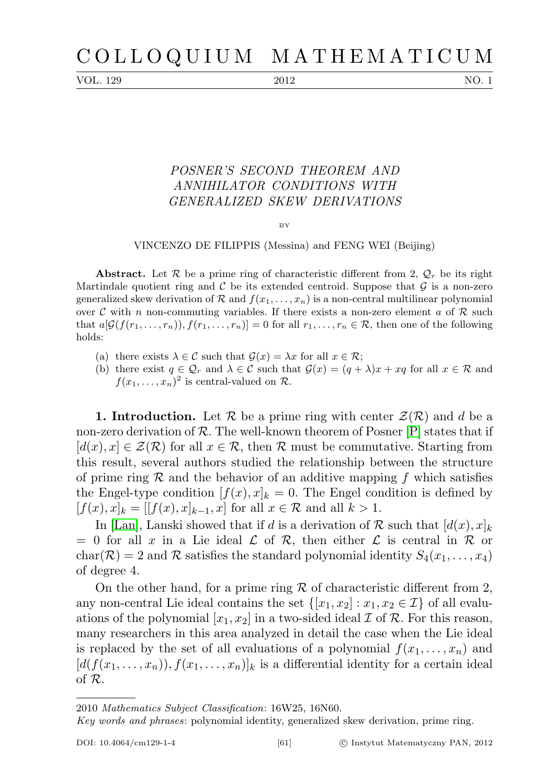VOL. 129 2012 NO. 1

## POSNER'S SECOND THEOREM AND ANNIHILATOR CONDITIONS WITH GENERALIZED SKEW DERIVATIONS

BY

## VINCENZO DE FILIPPIS (Messina) and FENG WEI (Beijing)

**Abstract.** Let R be a prime ring of characteristic different from 2,  $\mathcal{Q}_r$  be its right Martindale quotient ring and  $\mathcal C$  be its extended centroid. Suppose that  $\mathcal G$  is a non-zero generalized skew derivation of R and  $f(x_1, \ldots, x_n)$  is a non-central multilinear polynomial over C with n non-commuting variables. If there exists a non-zero element a of R such that  $a[\mathcal{G}(f(r_1,\ldots,r_n)), f(r_1,\ldots,r_n)] = 0$  for all  $r_1,\ldots,r_n \in \mathcal{R}$ , then one of the following holds:

- (a) there exists  $\lambda \in \mathcal{C}$  such that  $\mathcal{G}(x) = \lambda x$  for all  $x \in \mathcal{R}$ ;
- (b) there exist  $q \in \mathcal{Q}_r$  and  $\lambda \in \mathcal{C}$  such that  $\mathcal{G}(x) = (q + \lambda)x + xq$  for all  $x \in \mathcal{R}$  and  $f(x_1,\ldots,x_n)^2$  is central-valued on  $\mathcal{R}$ .

**1. Introduction.** Let  $\mathcal{R}$  be a prime ring with center  $\mathcal{Z}(\mathcal{R})$  and d be a non-zero derivation of R. The well-known theorem of Posner  $[P]$  states that if  $[d(x), x] \in \mathcal{Z}(\mathcal{R})$  for all  $x \in \mathcal{R}$ , then  $\mathcal{R}$  must be commutative. Starting from this result, several authors studied the relationship between the structure of prime ring  $R$  and the behavior of an additive mapping f which satisfies the Engel-type condition  $[f(x), x]_k = 0$ . The Engel condition is defined by  $[f(x), x]_k = [[f(x), x]_{k-1}, x]$  for all  $x \in \mathcal{R}$  and all  $k > 1$ .

In [\[Lan\]](#page-12-0), Lanski showed that if d is a derivation of R such that  $[d(x),x]_k$  $= 0$  for all x in a Lie ideal  $\mathcal L$  of  $\mathcal R$ , then either  $\mathcal L$  is central in  $\mathcal R$  or char( $\mathcal{R}$ ) = 2 and  $\mathcal R$  satisfies the standard polynomial identity  $S_4(x_1, \ldots, x_4)$ of degree 4.

On the other hand, for a prime ring  $R$  of characteristic different from 2, any non-central Lie ideal contains the set  $\{[x_1, x_2] : x_1, x_2 \in \mathcal{I}\}\$  of all evaluations of the polynomial  $[x_1, x_2]$  in a two-sided ideal  $\mathcal I$  of  $\mathcal R$ . For this reason, many researchers in this area analyzed in detail the case when the Lie ideal is replaced by the set of all evaluations of a polynomial  $f(x_1, \ldots, x_n)$  and  $[d(f(x_1, \ldots, x_n)), f(x_1, \ldots, x_n)]_k$  is a differential identity for a certain ideal of R.

<sup>2010</sup> Mathematics Subject Classification: 16W25, 16N60.

Key words and phrases: polynomial identity, generalized skew derivation, prime ring.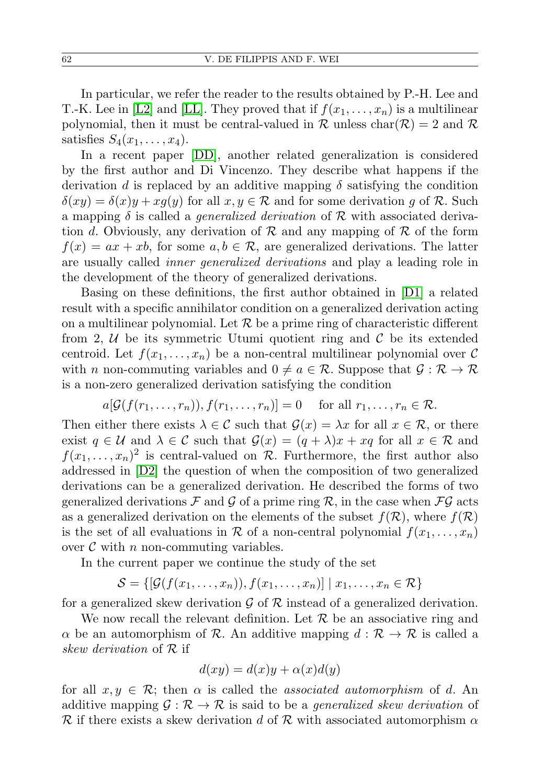In particular, we refer the reader to the results obtained by P.-H. Lee and T.-K. Lee in [\[L2\]](#page-12-1) and [\[LL\]](#page-13-1). They proved that if  $f(x_1, \ldots, x_n)$  is a multilinear polynomial, then it must be central-valued in  $\mathcal R$  unless char $(\mathcal R) = 2$  and  $\mathcal R$ satisfies  $S_4(x_1,\ldots,x_4)$ .

In a recent paper [\[DD\]](#page-12-2), another related generalization is considered by the first author and Di Vincenzo. They describe what happens if the derivation d is replaced by an additive mapping  $\delta$  satisfying the condition  $\delta(xy) = \delta(x)y + xg(y)$  for all  $x, y \in \mathcal{R}$  and for some derivation g of  $\mathcal{R}$ . Such a mapping  $\delta$  is called a *generalized derivation* of  $\mathcal R$  with associated derivation d. Obviously, any derivation of  $\mathcal R$  and any mapping of  $\mathcal R$  of the form  $f(x) = ax + xb$ , for some  $a, b \in \mathcal{R}$ , are generalized derivations. The latter are usually called inner generalized derivations and play a leading role in the development of the theory of generalized derivations.

Basing on these definitions, the first author obtained in [\[D1\]](#page-12-3) a related result with a specific annihilator condition on a generalized derivation acting on a multilinear polynomial. Let  $\mathcal R$  be a prime ring of characteristic different from 2,  $U$  be its symmetric Utumi quotient ring and  $C$  be its extended centroid. Let  $f(x_1, \ldots, x_n)$  be a non-central multilinear polynomial over C with n non-commuting variables and  $0 \neq a \in \mathcal{R}$ . Suppose that  $\mathcal{G} : \mathcal{R} \to \mathcal{R}$ is a non-zero generalized derivation satisfying the condition

$$
a[\mathcal{G}(f(r_1,\ldots,r_n)),f(r_1,\ldots,r_n)]=0 \text{ for all } r_1,\ldots,r_n\in\mathcal{R}.
$$

Then either there exists  $\lambda \in \mathcal{C}$  such that  $\mathcal{G}(x) = \lambda x$  for all  $x \in \mathcal{R}$ , or there exist  $q \in \mathcal{U}$  and  $\lambda \in \mathcal{C}$  such that  $\mathcal{G}(x) = (q + \lambda)x + xq$  for all  $x \in \mathcal{R}$  and  $f(x_1, \ldots, x_n)^2$  is central-valued on R. Furthermore, the first author also addressed in [\[D2\]](#page-12-4) the question of when the composition of two generalized derivations can be a generalized derivation. He described the forms of two generalized derivations  $\mathcal F$  and  $\mathcal G$  of a prime ring  $\mathcal R$ , in the case when  $\mathcal F\mathcal G$  acts as a generalized derivation on the elements of the subset  $f(\mathcal{R})$ , where  $f(\mathcal{R})$ is the set of all evaluations in R of a non-central polynomial  $f(x_1, \ldots, x_n)$ over  $C$  with  $n$  non-commuting variables.

In the current paper we continue the study of the set

$$
\mathcal{S} = \{[\mathcal{G}(f(x_1,\ldots,x_n)), f(x_1,\ldots,x_n)] \mid x_1,\ldots,x_n \in \mathcal{R}\}\
$$

for a generalized skew derivation  $\mathcal G$  of  $\mathcal R$  instead of a generalized derivation.

We now recall the relevant definition. Let  $R$  be an associative ring and  $\alpha$  be an automorphism of R. An additive mapping  $d : \mathcal{R} \to \mathcal{R}$  is called a skew derivation of  $\mathcal R$  if

$$
d(xy) = d(x)y + \alpha(x)d(y)
$$

for all  $x, y \in \mathcal{R}$ ; then  $\alpha$  is called the *associated automorphism* of d. An additive mapping  $\mathcal{G} : \mathcal{R} \to \mathcal{R}$  is said to be a *generalized skew derivation* of R if there exists a skew derivation d of R with associated automorphism  $\alpha$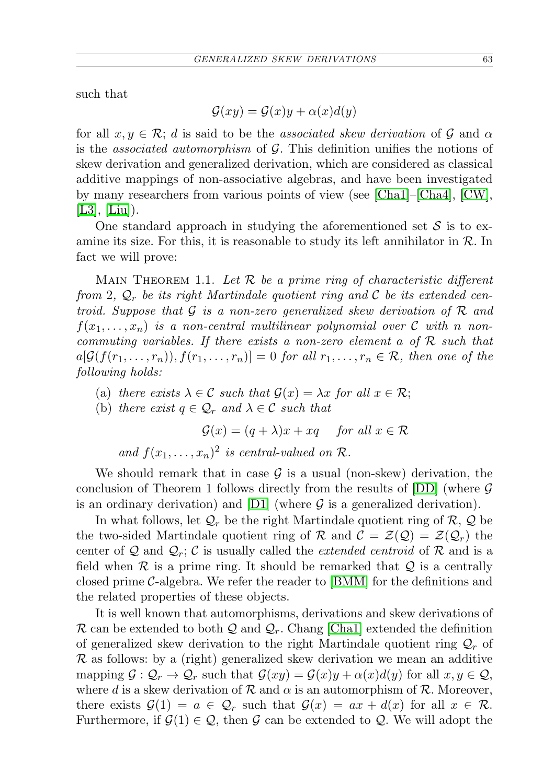such that

$$
\mathcal{G}(xy) = \mathcal{G}(x)y + \alpha(x)d(y)
$$

for all  $x, y \in \mathcal{R}$ ; d is said to be the associated skew derivation of G and  $\alpha$ is the *associated automorphism* of  $G$ . This definition unifies the notions of skew derivation and generalized derivation, which are considered as classical additive mappings of non-associative algebras, and have been investigated by many researchers from various points of view (see [\[Cha1\]](#page-12-5)–[\[Cha4\]](#page-12-6), [\[CW\]](#page-12-7),  $|L3|, |Liu|$ ).

One standard approach in studying the aforementioned set  $\mathcal S$  is to examine its size. For this, it is reasonable to study its left annihilator in  $\mathcal{R}$ . In fact we will prove:

<span id="page-2-0"></span>MAIN THEOREM 1.1. Let  $R$  be a prime ring of characteristic different from 2,  $\mathcal{Q}_r$  be its right Martindale quotient ring and C be its extended centroid. Suppose that  $\mathcal G$  is a non-zero generalized skew derivation of  $\mathcal R$  and  $f(x_1, \ldots, x_n)$  is a non-central multilinear polynomial over C with n noncommuting variables. If there exists a non-zero element a of  $R$  such that  $a[\mathcal{G}(f(r_1,\ldots,r_n)), f(r_1,\ldots,r_n)] = 0$  for all  $r_1,\ldots,r_n \in \mathcal{R}$ , then one of the following holds:

- (a) there exists  $\lambda \in \mathcal{C}$  such that  $\mathcal{G}(x) = \lambda x$  for all  $x \in \mathcal{R}$ ;
- (b) there exist  $q \in \mathcal{Q}_r$  and  $\lambda \in \mathcal{C}$  such that

 $\mathcal{G}(x) = (q + \lambda)x + xq$  for all  $x \in \mathcal{R}$ 

and  $f(x_1, \ldots, x_n)^2$  is central-valued on  $\mathcal{R}$ .

We should remark that in case  $\mathcal G$  is a usual (non-skew) derivation, the conclusion of Theorem 1 follows directly from the results of  $[DD]$  (where  $\mathcal G$ is an ordinary derivation) and [\[D1\]](#page-12-3) (where  $\mathcal G$  is a generalized derivation).

In what follows, let  $\mathcal{Q}_r$  be the right Martindale quotient ring of  $\mathcal{R}, \mathcal{Q}$  be the two-sided Martindale quotient ring of R and  $\mathcal{C} = \mathcal{Z}(\mathcal{Q}) = \mathcal{Z}(\mathcal{Q}_r)$  the center of Q and  $\mathcal{Q}_r$ ; C is usually called the *extended centroid* of R and is a field when  $\mathcal R$  is a prime ring. It should be remarked that  $\mathcal Q$  is a centrally closed prime  $C$ -algebra. We refer the reader to  $|{\rm BMM}|$  for the definitions and the related properties of these objects.

It is well known that automorphisms, derivations and skew derivations of  $\mathcal R$  can be extended to both  $\mathcal Q$  and  $\mathcal Q_r$ . Chang [\[Cha1\]](#page-12-5) extended the definition of generalized skew derivation to the right Martindale quotient ring  $\mathcal{Q}_r$  of  $\mathcal R$  as follows: by a (right) generalized skew derivation we mean an additive mapping  $\mathcal{G}: \mathcal{Q}_r \to \mathcal{Q}_r$  such that  $\mathcal{G}(xy) = \mathcal{G}(x)y + \alpha(x)d(y)$  for all  $x, y \in \mathcal{Q}$ , where d is a skew derivation of  $\mathcal R$  and  $\alpha$  is an automorphism of  $\mathcal R$ . Moreover, there exists  $\mathcal{G}(1) = a \in \mathcal{Q}_r$  such that  $\mathcal{G}(x) = ax + d(x)$  for all  $x \in \mathcal{R}$ . Furthermore, if  $\mathcal{G}(1) \in \mathcal{Q}$ , then  $\mathcal G$  can be extended to  $\mathcal Q$ . We will adopt the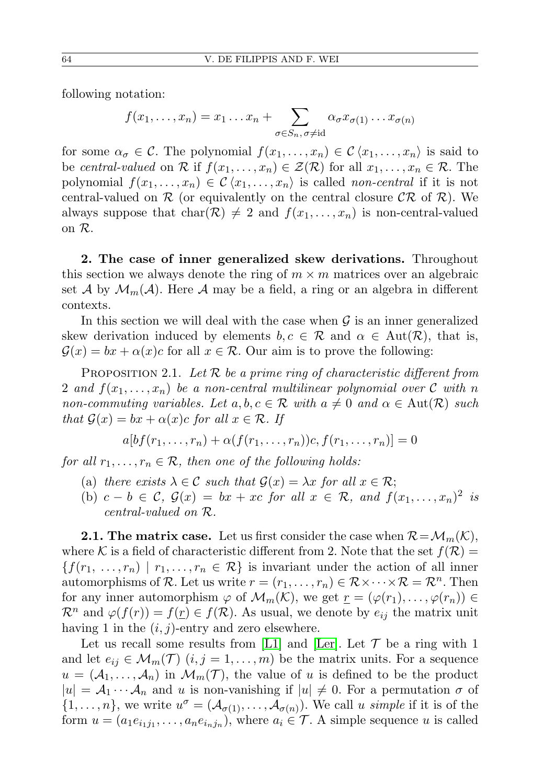following notation:

$$
f(x_1,...,x_n) = x_1...x_n + \sum_{\sigma \in S_n, \sigma \neq \text{id}} \alpha_{\sigma} x_{\sigma(1)}...x_{\sigma(n)}
$$

for some  $\alpha_{\sigma} \in \mathcal{C}$ . The polynomial  $f(x_1, \ldots, x_n) \in \mathcal{C} \langle x_1, \ldots, x_n \rangle$  is said to be central-valued on R if  $f(x_1, \ldots, x_n) \in \mathcal{Z}(\mathcal{R})$  for all  $x_1, \ldots, x_n \in \mathcal{R}$ . The polynomial  $f(x_1, \ldots, x_n) \in \mathcal{C} \langle x_1, \ldots, x_n \rangle$  is called non-central if it is not central-valued on  $\mathcal R$  (or equivalently on the central closure  $\mathcal C\mathcal R$  of  $\mathcal R$ ). We always suppose that  $char(\mathcal{R}) \neq 2$  and  $f(x_1, \ldots, x_n)$  is non-central-valued on R.

2. The case of inner generalized skew derivations. Throughout this section we always denote the ring of  $m \times m$  matrices over an algebraic set A by  $\mathcal{M}_m(\mathcal{A})$ . Here A may be a field, a ring or an algebra in different contexts.

In this section we will deal with the case when  $\mathcal G$  is an inner generalized skew derivation induced by elements  $b, c \in \mathcal{R}$  and  $\alpha \in Aut(\mathcal{R})$ , that is,  $\mathcal{G}(x) = bx + \alpha(x)c$  for all  $x \in \mathcal{R}$ . Our aim is to prove the following:

<span id="page-3-0"></span>PROPOSITION 2.1. Let  $\mathcal R$  be a prime ring of characteristic different from 2 and  $f(x_1, \ldots, x_n)$  be a non-central multilinear polynomial over C with n non-commuting variables. Let  $a, b, c \in \mathcal{R}$  with  $a \neq 0$  and  $\alpha \in \text{Aut}(\mathcal{R})$  such that  $\mathcal{G}(x) = bx + \alpha(x)c$  for all  $x \in \mathcal{R}$ . If

$$
a[bf(r_1,\ldots,r_n)+\alpha(f(r_1,\ldots,r_n))c,f(r_1,\ldots,r_n)]=0
$$

for all  $r_1, \ldots, r_n \in \mathcal{R}$ , then one of the following holds:

- (a) there exists  $\lambda \in \mathcal{C}$  such that  $\mathcal{G}(x) = \lambda x$  for all  $x \in \mathcal{R}$ ;
- (b)  $c b \in \mathcal{C}, \mathcal{G}(x) = bx + xc$  for all  $x \in \mathcal{R},$  and  $f(x_1, \ldots, x_n)^2$  is central-valued on R.

**2.1. The matrix case.** Let us first consider the case when  $\mathcal{R} = \mathcal{M}_m(\mathcal{K})$ , where K is a field of characteristic different from 2. Note that the set  $f(\mathcal{R}) =$  ${f(r_1, ..., r_n) \mid r_1, ..., r_n \in \mathcal{R}}$  is invariant under the action of all inner automorphisms of R. Let us write  $r = (r_1, \ldots, r_n) \in \mathcal{R} \times \cdots \times \mathcal{R} = \mathcal{R}^n$ . Then for any inner automorphism  $\varphi$  of  $\mathcal{M}_m(\mathcal{K})$ , we get  $\underline{r} = (\varphi(r_1), \ldots, \varphi(r_n)) \in$  $\mathcal{R}^n$  and  $\varphi(f(r)) = f(r) \in f(\mathcal{R})$ . As usual, we denote by  $e_{ij}$  the matrix unit having 1 in the  $(i, j)$ -entry and zero elsewhere.

Let us recall some results from [\[L1\]](#page-12-10) and [\[Ler\]](#page-13-3). Let  $\mathcal T$  be a ring with 1 and let  $e_{ij} \in \mathcal{M}_m(\mathcal{T})$   $(i, j = 1, \ldots, m)$  be the matrix units. For a sequence  $u = (\mathcal{A}_1, \ldots, \mathcal{A}_n)$  in  $\mathcal{M}_m(\mathcal{T})$ , the value of u is defined to be the product  $|u| = A_1 \cdots A_n$  and u is non-vanishing if  $|u| \neq 0$ . For a permutation  $\sigma$  of  $\{1,\ldots,n\}$ , we write  $u^{\sigma}=(\mathcal{A}_{\sigma(1)},\ldots,\mathcal{A}_{\sigma(n)})$ . We call u simple if it is of the form  $u = (a_1 e_{i_1 j_1}, \dots, a_n e_{i_n j_n}),$  where  $a_i \in \mathcal{T}$ . A simple sequence u is called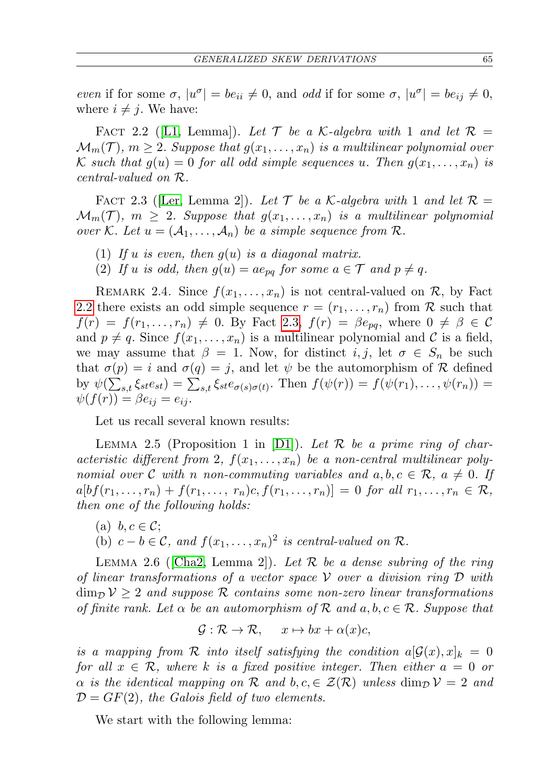even if for some  $\sigma$ ,  $|u^{\sigma}| = be_{ii} \neq 0$ , and odd if for some  $\sigma$ ,  $|u^{\sigma}| = be_{ij} \neq 0$ , where  $i \neq j$ . We have:

<span id="page-4-0"></span>FACT 2.2 ([\[L1,](#page-12-10) Lemma]). Let  $\mathcal T$  be a K-algebra with 1 and let  $\mathcal R$  =  $\mathcal{M}_m(\mathcal{T})$ ,  $m \geq 2$ . Suppose that  $g(x_1, \ldots, x_n)$  is a multilinear polynomial over K such that  $g(u) = 0$  for all odd simple sequences u. Then  $g(x_1, \ldots, x_n)$  is central-valued on R.

<span id="page-4-1"></span>FACT 2.3 (Ler, Lemma 2). Let  $\mathcal T$  be a K-algebra with 1 and let  $\mathcal R$  =  $\mathcal{M}_m(\mathcal{T})$ ,  $m \geq 2$ . Suppose that  $g(x_1, \ldots, x_n)$  is a multilinear polynomial over K. Let  $u = (A_1, \ldots, A_n)$  be a simple sequence from R.

- (1) If u is even, then  $g(u)$  is a diagonal matrix.
- (2) If u is odd, then  $g(u) = ae_{pq}$  for some  $a \in \mathcal{T}$  and  $p \neq q$ .

<span id="page-4-5"></span>REMARK 2.4. Since  $f(x_1, \ldots, x_n)$  is not central-valued on  $\mathcal{R}$ , by Fact [2.2](#page-4-0) there exists an odd simple sequence  $r = (r_1, \ldots, r_n)$  from R such that  $f(r) = f(r_1, \ldots, r_n) \neq 0$ . By Fact [2.3,](#page-4-1)  $f(r) = \beta e_{pq}$ , where  $0 \neq \beta \in \mathcal{C}$ and  $p \neq q$ . Since  $f(x_1, \ldots, x_n)$  is a multilinear polynomial and C is a field, we may assume that  $\beta = 1$ . Now, for distinct  $i, j$ , let  $\sigma \in S_n$  be such that  $\sigma(p) = i$  and  $\sigma(q) = j$ , and let  $\psi$  be the automorphism of R defined by  $\psi(\sum_{s,t} \xi_{st} e_{st}) = \sum_{s,t} \xi_{st} e_{\sigma(s)\sigma(t)}$ . Then  $f(\psi(r)) = f(\psi(r_1), \dots, \psi(r_n)) =$  $\psi(f(r)) = \beta e_{ij} = e_{ij}.$ 

Let us recall several known results:

<span id="page-4-2"></span>LEMMA 2.5 (Proposition 1 in [\[D1\]](#page-12-3)). Let  $\mathcal R$  be a prime ring of characteristic different from 2,  $f(x_1, \ldots, x_n)$  be a non-central multilinear polynomial over C with n non-commuting variables and  $a, b, c \in \mathcal{R}$ ,  $a \neq 0$ . If  $a[bf(r_1, ..., r_n) + f(r_1, ..., r_n)c, f(r_1, ..., r_n)] = 0$  for all  $r_1, ..., r_n \in \mathcal{R}$ , then one of the following holds:

(a)  $b, c \in \mathcal{C}$ ; (b)  $c - b \in \mathcal{C}$ , and  $f(x_1, \ldots, x_n)^2$  is central-valued on  $\mathcal{R}$ .

<span id="page-4-4"></span>LEMMA 2.6 ([\[Cha2,](#page-12-11) Lemma 2]). Let  $\mathcal R$  be a dense subring of the ring of linear transformations of a vector space  $\mathcal V$  over a division ring  $\mathcal D$  with  $\dim_{\mathcal{D}} \mathcal{V} \geq 2$  and suppose R contains some non-zero linear transformations of finite rank. Let  $\alpha$  be an automorphism of  $\mathcal R$  and  $a, b, c \in \mathcal R$ . Suppose that

$$
\mathcal{G} : \mathcal{R} \to \mathcal{R}, \quad x \mapsto bx + \alpha(x)c,
$$

is a mapping from R into itself satisfying the condition  $a[\mathcal{G}(x), x]_k = 0$ for all  $x \in \mathcal{R}$ , where k is a fixed positive integer. Then either  $a = 0$  or  $\alpha$  is the identical mapping on R and  $b, c \in \mathcal{Z}(\mathcal{R})$  unless  $\dim_{\mathcal{D}} \mathcal{V} = 2$  and  $\mathcal{D} = GF(2)$ , the Galois field of two elements.

<span id="page-4-3"></span>We start with the following lemma: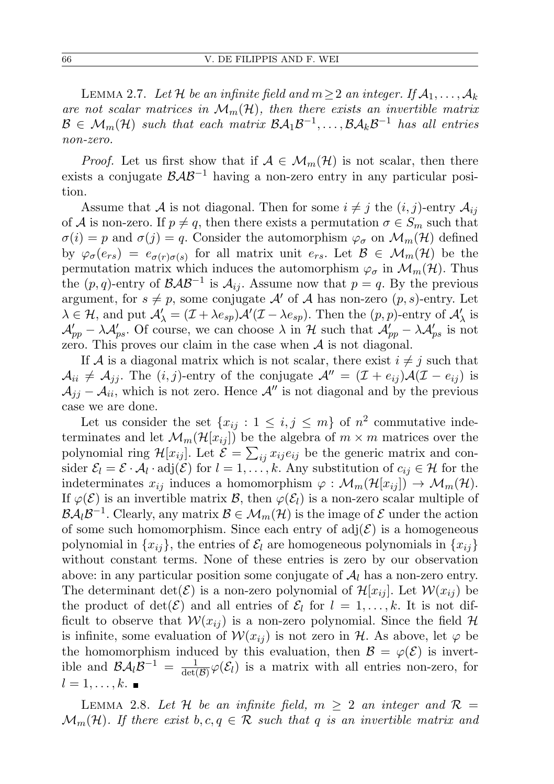LEMMA 2.7. Let H be an infinite field and  $m \geq 2$  an integer. If  $\mathcal{A}_1, \ldots, \mathcal{A}_k$ are not scalar matrices in  $\mathcal{M}_m(\mathcal{H})$ , then there exists an invertible matrix  $\mathcal{B} \in \mathcal{M}_m(\mathcal{H})$  such that each matrix  $\mathcal{B}\mathcal{A}_1\mathcal{B}^{-1}, \ldots, \mathcal{B}\mathcal{A}_k\mathcal{B}^{-1}$  has all entries non-zero.

*Proof.* Let us first show that if  $A \in \mathcal{M}_m(\mathcal{H})$  is not scalar, then there exists a conjugate  $\beta \mathcal{A} \beta^{-1}$  having a non-zero entry in any particular position.

Assume that A is not diagonal. Then for some  $i \neq j$  the  $(i, j)$ -entry  $\mathcal{A}_{ij}$ of A is non-zero. If  $p \neq q$ , then there exists a permutation  $\sigma \in S_m$  such that  $\sigma(i) = p$  and  $\sigma(j) = q$ . Consider the automorphism  $\varphi_{\sigma}$  on  $\mathcal{M}_m(\mathcal{H})$  defined by  $\varphi_{\sigma}(e_{rs}) = e_{\sigma(r)\sigma(s)}$  for all matrix unit  $e_{rs}$ . Let  $\mathcal{B} \in \mathcal{M}_m(\mathcal{H})$  be the permutation matrix which induces the automorphism  $\varphi_{\sigma}$  in  $\mathcal{M}_m(\mathcal{H})$ . Thus the  $(p, q)$ -entry of  $\mathcal{BAB}^{-1}$  is  $\mathcal{A}_{ij}$ . Assume now that  $p = q$ . By the previous argument, for  $s \neq p$ , some conjugate A' of A has non-zero  $(p, s)$ -entry. Let  $\lambda \in \mathcal{H}$ , and put  $\mathcal{A}'_{\lambda} = (\mathcal{I} + \lambda e_{sp})\mathcal{A}'(\mathcal{I} - \lambda e_{sp})$ . Then the  $(p, p)$ -entry of  $\mathcal{A}'_{\lambda}$  is  $\mathcal{A}'_{pp} - \lambda \mathcal{A}'_{ps}$ . Of course, we can choose  $\lambda$  in H such that  $\mathcal{A}'_{pp} - \lambda \mathcal{A}'_{ps}$  is not zero. This proves our claim in the case when  $A$  is not diagonal.

If A is a diagonal matrix which is not scalar, there exist  $i \neq j$  such that  $A_{ii} \neq A_{jj}$ . The  $(i, j)$ -entry of the conjugate  $\mathcal{A}'' = (\mathcal{I} + e_{ij})\mathcal{A}(\mathcal{I} - e_{ij})$  is  $\mathcal{A}_{ij} - \mathcal{A}_{ii}$ , which is not zero. Hence  $\mathcal{A}''$  is not diagonal and by the previous case we are done.

Let us consider the set  $\{x_{ij} : 1 \le i, j \le m\}$  of  $n^2$  commutative indeterminates and let  $\mathcal{M}_m(\mathcal{H}[x_{ij}])$  be the algebra of  $m \times m$  matrices over the polynomial ring  $\mathcal{H}[x_{ij}]$ . Let  $\mathcal{E} = \sum_{ij} x_{ij} e_{ij}$  be the generic matrix and consider  $\mathcal{E}_l = \mathcal{E} \cdot \mathcal{A}_l \cdot \text{adj}(\mathcal{E})$  for  $l = 1, \ldots, k$ . Any substitution of  $c_{ij} \in \mathcal{H}$  for the indeterminates  $x_{ij}$  induces a homomorphism  $\varphi : \mathcal{M}_m(\mathcal{H}[x_{ij}]) \to \mathcal{M}_m(\mathcal{H})$ . If  $\varphi(\mathcal{E})$  is an invertible matrix  $\mathcal{B}$ , then  $\varphi(\mathcal{E}_l)$  is a non-zero scalar multiple of  $\mathcal{B}A_l\mathcal{B}^{-1}$ . Clearly, any matrix  $\mathcal{B}\in\mathcal{M}_m(\mathcal{H})$  is the image of  $\mathcal E$  under the action of some such homomorphism. Since each entry of  $adj(\mathcal{E})$  is a homogeneous polynomial in  $\{x_{ij}\}\$ , the entries of  $\mathcal{E}_l$  are homogeneous polynomials in  $\{x_{ij}\}\$ without constant terms. None of these entries is zero by our observation above: in any particular position some conjugate of  $\mathcal{A}_l$  has a non-zero entry. The determinant  $\det(\mathcal{E})$  is a non-zero polynomial of  $\mathcal{H}[x_{ij}]$ . Let  $\mathcal{W}(x_{ij})$  be the product of  $\det(\mathcal{E})$  and all entries of  $\mathcal{E}_l$  for  $l = 1, \ldots, k$ . It is not difficult to observe that  $W(x_{ij})$  is a non-zero polynomial. Since the field H is infinite, some evaluation of  $W(x_{ij})$  is not zero in H. As above, let  $\varphi$  be the homomorphism induced by this evaluation, then  $\mathcal{B} = \varphi(\mathcal{E})$  is invertible and  $\mathcal{B} \mathcal{A}_l \mathcal{B}^{-1} = \frac{1}{\det(l)}$  $\frac{1}{\det(\mathcal{B})}\varphi(\mathcal{E}_l)$  is a matrix with all entries non-zero, for  $l=1,\ldots,k.$ 

<span id="page-5-0"></span>LEMMA 2.8. Let H be an infinite field,  $m \geq 2$  an integer and  $\mathcal{R} =$  $\mathcal{M}_m(\mathcal{H})$ . If there exist  $b, c, q \in \mathcal{R}$  such that q is an invertible matrix and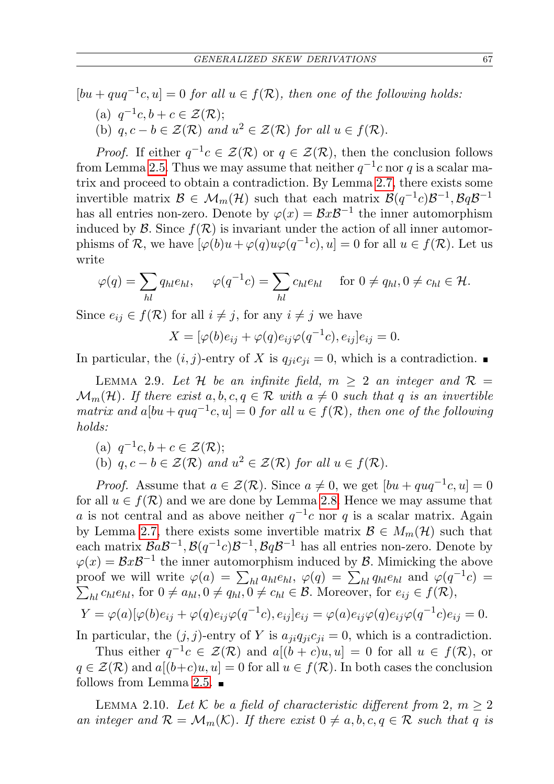$[bu + quq^{-1}c, u] = 0$  for all  $u \in f(\mathcal{R})$ , then one of the following holds: (a)  $q^{-1}c, b+c \in \mathcal{Z}(\mathcal{R});$ (b)  $q, c - b \in \mathcal{Z}(\mathcal{R})$  and  $u^2 \in \mathcal{Z}(\mathcal{R})$  for all  $u \in f(\mathcal{R})$ .

*Proof.* If either  $q^{-1}c \in \mathcal{Z}(\mathcal{R})$  or  $q \in \mathcal{Z}(\mathcal{R})$ , then the conclusion follows from Lemma [2.5.](#page-4-2) Thus we may assume that neither  $q^{-1}c$  nor q is a scalar matrix and proceed to obtain a contradiction. By Lemma [2.7,](#page-4-3) there exists some invertible matrix  $\mathcal{B} \in \mathcal{M}_m(\mathcal{H})$  such that each matrix  $\mathcal{B}(q^{-1}c)\mathcal{B}^{-1}, \mathcal{B}q\mathcal{B}^{-1}$ has all entries non-zero. Denote by  $\varphi(x) = \mathcal{B}x\mathcal{B}^{-1}$  the inner automorphism induced by  $\mathcal{B}$ . Since  $f(\mathcal{R})$  is invariant under the action of all inner automorphisms of R, we have  $[\varphi(b)u + \varphi(q)u\varphi(q^{-1}c), u] = 0$  for all  $u \in f(\mathcal{R})$ . Let us write

$$
\varphi(q) = \sum_{hl} q_{hl} e_{hl}, \quad \varphi(q^{-1}c) = \sum_{hl} c_{hl} e_{hl} \quad \text{for } 0 \neq q_{hl}, 0 \neq c_{hl} \in \mathcal{H}.
$$

Since  $e_{ij} \in f(\mathcal{R})$  for all  $i \neq j$ , for any  $i \neq j$  we have

$$
X = [\varphi(b)e_{ij} + \varphi(q)e_{ij}\varphi(q^{-1}c), e_{ij}]e_{ij} = 0.
$$

In particular, the  $(i, j)$ -entry of X is  $q_{ji}c_{ji} = 0$ , which is a contradiction.

<span id="page-6-0"></span>LEMMA 2.9. Let H be an infinite field,  $m \geq 2$  an integer and  $\mathcal{R} =$  $\mathcal{M}_m(\mathcal{H})$ . If there exist  $a, b, c, q \in \mathcal{R}$  with  $a \neq 0$  such that q is an invertible matrix and  $a[bu+quq^{-1}c, u] = 0$  for all  $u \in f(\mathcal{R})$ , then one of the following holds:

(a)  $q^{-1}c, b+c \in \mathcal{Z}(\mathcal{R});$ (b)  $q, c - b \in \mathcal{Z}(\mathcal{R})$  and  $u^2 \in \mathcal{Z}(\mathcal{R})$  for all  $u \in f(\mathcal{R})$ .

*Proof.* Assume that  $a \in \mathcal{Z}(\mathcal{R})$ . Since  $a \neq 0$ , we get  $[bu + quq^{-1}c, u] = 0$ for all  $u \in f(\mathcal{R})$  and we are done by Lemma [2.8.](#page-5-0) Hence we may assume that a is not central and as above neither  $q^{-1}c$  nor q is a scalar matrix. Again by Lemma [2.7,](#page-4-3) there exists some invertible matrix  $\mathcal{B} \in M_m(\mathcal{H})$  such that each matrix  $BaB^{-1}$ ,  $B(q^{-1}c)B^{-1}$ ,  $BqB^{-1}$  has all entries non-zero. Denote by  $\varphi(x) = \mathcal{B}x\mathcal{B}^{-1}$  the inner automorphism induced by  $\mathcal{B}$ . Mimicking the above proof we will write  $\varphi(a) = \sum_{hl} a_{hl} e_{hl}$ ,  $\varphi(q) = \sum_{hl} q_{hl} e_{hl}$  and  $\varphi(q^{-1}c)$  $\sum_{hl} c_{hl} e_{hl}$ , for  $0 \neq a_{hl}, 0 \neq q_{hl}, 0 \neq c_{hl} \in \mathcal{B}$ . Moreover, for  $e_{ij} \in f(\mathcal{R})$ ,

$$
Y = \varphi(a)[\varphi(b)e_{ij} + \varphi(q)e_{ij}\varphi(q^{-1}c), e_{ij}]e_{ij} = \varphi(a)e_{ij}\varphi(q)e_{ij}\varphi(q^{-1}c)e_{ij} = 0.
$$

In particular, the  $(j, j)$ -entry of Y is  $a_{ji}q_{ji}c_{ji} = 0$ , which is a contradiction.

Thus either  $q^{-1}c \in \mathcal{Z}(\mathcal{R})$  and  $a[(b+c)u, u] = 0$  for all  $u \in f(\mathcal{R})$ , or  $q \in \mathcal{Z}(\mathcal{R})$  and  $a[(b+c)u, u] = 0$  for all  $u \in f(\mathcal{R})$ . In both cases the conclusion follows from Lemma [2.5.](#page-4-2)  $\blacksquare$ 

<span id="page-6-1"></span>LEMMA 2.10. Let K be a field of characteristic different from 2,  $m \geq 2$ an integer and  $\mathcal{R} = \mathcal{M}_m(\mathcal{K})$ . If there exist  $0 \neq a, b, c, q \in \mathcal{R}$  such that q is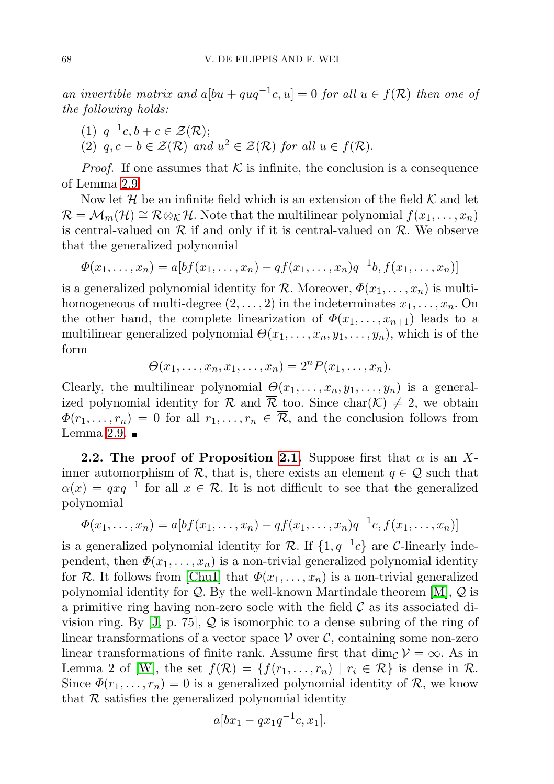an invertible matrix and  $a[bu + quq^{-1}c, u] = 0$  for all  $u \in f(\mathcal{R})$  then one of the following holds:

- (1)  $q^{-1}c, b + c \in \mathcal{Z}(\mathcal{R});$
- (2)  $q, c b \in \mathcal{Z}(\mathcal{R})$  and  $u^2 \in \mathcal{Z}(\mathcal{R})$  for all  $u \in f(\mathcal{R})$ .

*Proof.* If one assumes that  $K$  is infinite, the conclusion is a consequence of Lemma [2.9.](#page-6-0)

Now let  $\mathcal H$  be an infinite field which is an extension of the field  $\mathcal K$  and let  $\overline{\mathcal{R}} = \mathcal{M}_m(\mathcal{H}) \cong \mathcal{R} \otimes_{\mathcal{K}} \mathcal{H}$ . Note that the multilinear polynomial  $f(x_1, \ldots, x_n)$ is central-valued on  $\mathcal R$  if and only if it is central-valued on  $\overline{\mathcal R}$ . We observe that the generalized polynomial

$$
\Phi(x_1, \ldots, x_n) = a[bf(x_1, \ldots, x_n) - qf(x_1, \ldots, x_n)q^{-1}b, f(x_1, \ldots, x_n)]
$$

is a generalized polynomial identity for R. Moreover,  $\Phi(x_1, \ldots, x_n)$  is multihomogeneous of multi-degree  $(2, \ldots, 2)$  in the indeterminates  $x_1, \ldots, x_n$ . On the other hand, the complete linearization of  $\Phi(x_1, \ldots, x_{n+1})$  leads to a multilinear generalized polynomial  $\Theta(x_1, \ldots, x_n, y_1, \ldots, y_n)$ , which is of the form

$$
\Theta(x_1,\ldots,x_n,x_1,\ldots,x_n)=2^nP(x_1,\ldots,x_n).
$$

Clearly, the multilinear polynomial  $\Theta(x_1, \ldots, x_n, y_1, \ldots, y_n)$  is a generalized polynomial identity for  $\mathcal R$  and  $\overline{\mathcal R}$  too. Since char $(\mathcal K) \neq 2$ , we obtain  $\Phi(r_1,\ldots,r_n) = 0$  for all  $r_1,\ldots,r_n \in \overline{\mathcal{R}}$ , and the conclusion follows from Lemma [2.9.](#page-6-0)  $\blacksquare$ 

**2.2.** The proof of Proposition [2.1.](#page-3-0) Suppose first that  $\alpha$  is an Xinner automorphism of R, that is, there exists an element  $q \in \mathcal{Q}$  such that  $\alpha(x) = qxq^{-1}$  for all  $x \in \mathcal{R}$ . It is not difficult to see that the generalized polynomial

$$
\Phi(x_1, ..., x_n) = a[bf(x_1, ..., x_n) - qf(x_1, ..., x_n)q^{-1}c, f(x_1, ..., x_n)]
$$

is a generalized polynomial identity for R. If  $\{1,q^{-1}c\}$  are C-linearly independent, then  $\Phi(x_1, \ldots, x_n)$  is a non-trivial generalized polynomial identity for R. It follows from [\[Chu1\]](#page-12-12) that  $\Phi(x_1, \ldots, x_n)$  is a non-trivial generalized polynomial identity for  $Q$ . By the well-known Martindale theorem [\[M\]](#page-13-4),  $Q$  is a primitive ring having non-zero socle with the field  $\mathcal C$  as its associated division ring. By  $[J, p. 75], Q$  $[J, p. 75], Q$  is isomorphic to a dense subring of the ring of linear transformations of a vector space  $\mathcal V$  over  $\mathcal C$ , containing some non-zero linear transformations of finite rank. Assume first that dim<sub>C</sub>  $\mathcal{V} = \infty$ . As in Lemma 2 of [\[W\]](#page-13-5), the set  $f(\mathcal{R}) = \{f(r_1, \ldots, r_n) \mid r_i \in \mathcal{R}\}\$ is dense in  $\mathcal{R}$ . Since  $\Phi(r_1,\ldots,r_n)=0$  is a generalized polynomial identity of  $\mathcal{R}$ , we know that  $R$  satisfies the generalized polynomial identity

$$
a[bx_1 - qx_1q^{-1}c, x_1].
$$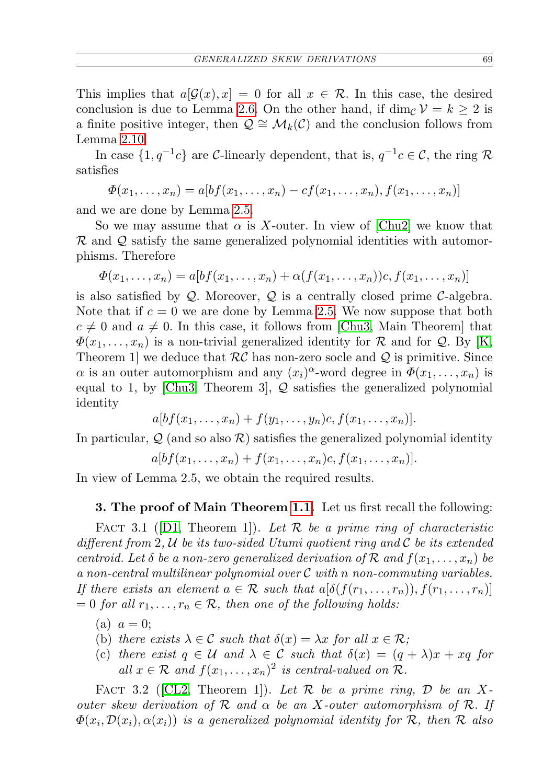This implies that  $a\mathcal{G}(x), x$  = 0 for all  $x \in \mathcal{R}$ . In this case, the desired conclusion is due to Lemma [2.6.](#page-4-4) On the other hand, if dim<sub>C</sub>  $\mathcal{V} = k \geq 2$  is a finite positive integer, then  $\mathcal{Q} \cong \mathcal{M}_k(\mathcal{C})$  and the conclusion follows from Lemma [2.10.](#page-6-1)

In case  $\{1,q^{-1}c\}$  are C-linearly dependent, that is,  $q^{-1}c \in \mathcal{C}$ , the ring R satisfies

 $\Phi(x_1, \ldots, x_n) = a[bf(x_1, \ldots, x_n) - cf(x_1, \ldots, x_n), f(x_1, \ldots, x_n)]$ 

and we are done by Lemma [2.5.](#page-4-2)

So we may assume that  $\alpha$  is X-outer. In view of [\[Chu2\]](#page-12-14) we know that  $\mathcal R$  and  $\mathcal Q$  satisfy the same generalized polynomial identities with automorphisms. Therefore

$$
\Phi(x_1,\ldots,x_n)=a[bf(x_1,\ldots,x_n)+\alpha(f(x_1,\ldots,x_n))c,f(x_1,\ldots,x_n)]
$$

is also satisfied by  $Q$ . Moreover,  $Q$  is a centrally closed prime  $C$ -algebra. Note that if  $c = 0$  we are done by Lemma [2.5.](#page-4-2) We now suppose that both  $c \neq 0$  and  $a \neq 0$ . In this case, it follows from [\[Chu3,](#page-12-15) Main Theorem] that  $\Phi(x_1, \ldots, x_n)$  is a non-trivial generalized identity for R and for Q. By [\[K,](#page-12-16) Theorem 1 we deduce that  $RC$  has non-zero socle and Q is primitive. Since  $\alpha$  is an outer automorphism and any  $(x_i)^\alpha$ -word degree in  $\Phi(x_1,\ldots,x_n)$  is equal to 1, by [\[Chu3,](#page-12-15) Theorem 3],  $Q$  satisfies the generalized polynomial identity

$$
a[bf(x_1,\ldots,x_n)+f(y_1,\ldots,y_n)c,f(x_1,\ldots,x_n)].
$$

In particular,  $\mathcal{Q}$  (and so also  $\mathcal{R}$ ) satisfies the generalized polynomial identity

 $a[bf(x_1, \ldots, x_n) + f(x_1, \ldots, x_n)c, f(x_1, \ldots, x_n)].$ 

In view of Lemma 2.5, we obtain the required results.

## 3. The proof of Main Theorem [1.1.](#page-2-0) Let us first recall the following:

<span id="page-8-0"></span>FACT 3.1 ([\[D1,](#page-12-3) Theorem 1]). Let  $\mathcal R$  be a prime ring of characteristic different from 2,  $U$  be its two-sided Utumi quotient ring and  $C$  be its extended centroid. Let  $\delta$  be a non-zero generalized derivation of  $\mathcal R$  and  $f(x_1, \ldots, x_n)$  be a non-central multilinear polynomial over  $C$  with n non-commuting variables. If there exists an element  $a \in \mathcal{R}$  such that  $a[\delta(f(r_1,\ldots,r_n)), f(r_1,\ldots,r_n)]$  $= 0$  for all  $r_1, \ldots, r_n \in \mathcal{R}$ , then one of the following holds:

- (a)  $a = 0$ ;
- (b) there exists  $\lambda \in \mathcal{C}$  such that  $\delta(x) = \lambda x$  for all  $x \in \mathcal{R}$ ;
- (c) there exist  $q \in \mathcal{U}$  and  $\lambda \in \mathcal{C}$  such that  $\delta(x) = (q + \lambda)x + xq$  for all  $x \in \mathcal{R}$  and  $f(x_1, \ldots, x_n)^2$  is central-valued on  $\mathcal{R}$ .

<span id="page-8-1"></span>FACT 3.2 ([\[CL2,](#page-12-17) Theorem 1]). Let  $\mathcal R$  be a prime ring,  $\mathcal D$  be an Xouter skew derivation of  $R$  and  $\alpha$  be an X-outer automorphism of  $R$ . If  $\varPhi(x_i,\mathcal{D}(x_i),\alpha(x_i))$  is a generalized polynomial identity for  $\mathcal{R},$  then  $\mathcal R$  also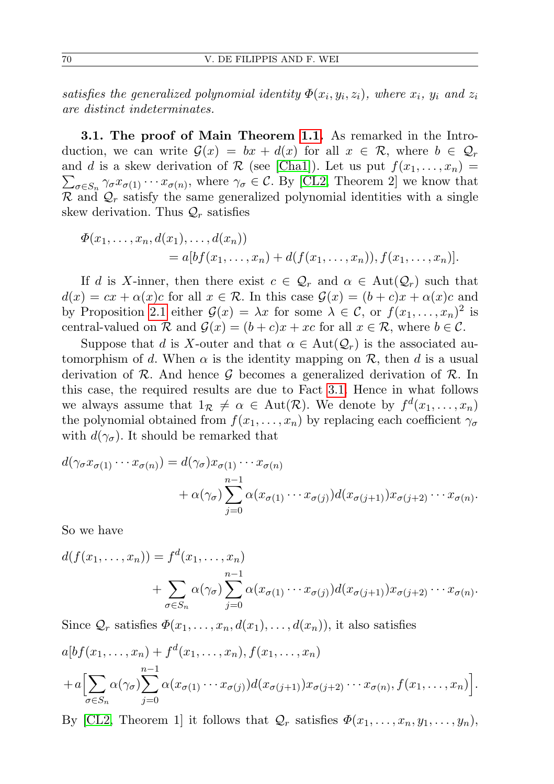satisfies the generalized polynomial identity  $\Phi(x_i, y_i, z_i)$ , where  $x_i$ ,  $y_i$  and  $z_i$ are distinct indeterminates.

3.1. The proof of Main Theorem [1.1.](#page-2-0) As remarked in the Introduction, we can write  $\mathcal{G}(x) = bx + d(x)$  for all  $x \in \mathcal{R}$ , where  $b \in \mathcal{Q}_r$ and d is a skew derivation of R (see [\[Cha1\]](#page-12-5)). Let us put  $f(x_1, \ldots, x_n) =$  $\sum_{\sigma \in S_n} \gamma_{\sigma} x_{\sigma(1)} \cdots x_{\sigma(n)}$ , where  $\gamma_{\sigma} \in C$ . By [\[CL2,](#page-12-17) Theorem 2] we know that  $\mathcal R$  and  $\mathcal Q_r$  satisfy the same generalized polynomial identities with a single skew derivation. Thus  $\mathcal{Q}_r$  satisfies

$$
\Phi(x_1, \ldots, x_n, d(x_1), \ldots, d(x_n)) = a[bf(x_1, \ldots, x_n) + d(f(x_1, \ldots, x_n)), f(x_1, \ldots, x_n)].
$$

If d is X-inner, then there exist  $c \in \mathcal{Q}_r$  and  $\alpha \in \text{Aut}(\mathcal{Q}_r)$  such that  $d(x) = cx + \alpha(x)c$  for all  $x \in \mathcal{R}$ . In this case  $\mathcal{G}(x) = (b+c)x + \alpha(x)c$  and by Proposition [2.1](#page-3-0) either  $\mathcal{G}(x) = \lambda x$  for some  $\lambda \in \mathcal{C}$ , or  $f(x_1, \ldots, x_n)^2$  is central-valued on  $\mathcal R$  and  $\mathcal G(x) = (b+c)x + xc$  for all  $x \in \mathcal R$ , where  $b \in \mathcal C$ .

Suppose that d is X-outer and that  $\alpha \in \text{Aut}(\mathcal{Q}_r)$  is the associated automorphism of d. When  $\alpha$  is the identity mapping on  $\mathcal{R}$ , then d is a usual derivation of  $\mathcal{R}$ . And hence  $\mathcal{G}$  becomes a generalized derivation of  $\mathcal{R}$ . In this case, the required results are due to Fact [3.1.](#page-8-0) Hence in what follows we always assume that  $1_{\mathcal{R}} \neq \alpha \in \text{Aut}(\mathcal{R})$ . We denote by  $f^d(x_1, \ldots, x_n)$ the polynomial obtained from  $f(x_1, \ldots, x_n)$  by replacing each coefficient  $\gamma_{\sigma}$ with  $d(\gamma_{\sigma})$ . It should be remarked that

$$
d(\gamma_{\sigma} x_{\sigma(1)} \cdots x_{\sigma(n)}) = d(\gamma_{\sigma}) x_{\sigma(1)} \cdots x_{\sigma(n)} + \alpha(\gamma_{\sigma}) \sum_{j=0}^{n-1} \alpha(x_{\sigma(1)} \cdots x_{\sigma(j)}) d(x_{\sigma(j+1)}) x_{\sigma(j+2)} \cdots x_{\sigma(n)}.
$$

So we have

$$
d(f(x_1,\ldots,x_n)) = f^d(x_1,\ldots,x_n)
$$
  
+ 
$$
\sum_{\sigma \in S_n} \alpha(\gamma_{\sigma}) \sum_{j=0}^{n-1} \alpha(x_{\sigma(1)} \cdots x_{\sigma(j)}) d(x_{\sigma(j+1)}) x_{\sigma(j+2)} \cdots x_{\sigma(n)}.
$$

Since  $\mathcal{Q}_r$  satisfies  $\Phi(x_1,\ldots,x_n,d(x_1),\ldots,d(x_n))$ , it also satisfies

$$
a[bf(x_1,\ldots,x_n)+f^d(x_1,\ldots,x_n),f(x_1,\ldots,x_n)+a\Big[\sum_{\sigma\in S_n}\alpha(\gamma_{\sigma})\sum_{j=0}^{n-1}\alpha(x_{\sigma(1)}\cdots x_{\sigma(j)})d(x_{\sigma(j+1)})x_{\sigma(j+2)}\cdots x_{\sigma(n)},f(x_1,\ldots,x_n)\Big].
$$

By [\[CL2,](#page-12-17) Theorem 1] it follows that  $\mathcal{Q}_r$  satisfies  $\Phi(x_1, \ldots, x_n, y_1, \ldots, y_n)$ ,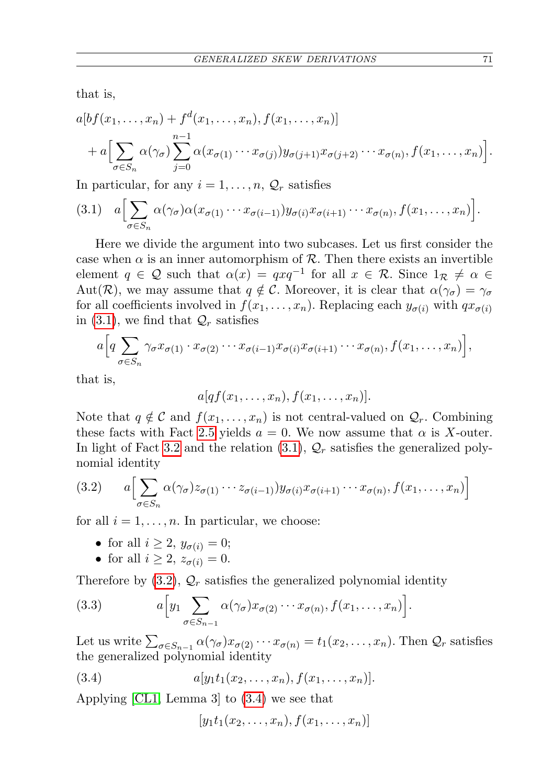that is,

$$
a[bf(x_1,\ldots,x_n)+f^d(x_1,\ldots,x_n),f(x_1,\ldots,x_n)]
$$
  
+
$$
a\Big[\sum_{\sigma\in S_n}\alpha(\gamma_{\sigma})\sum_{j=0}^{n-1}\alpha(x_{\sigma(1)}\cdots x_{\sigma(j)})y_{\sigma(j+1)}x_{\sigma(j+2)}\cdots x_{\sigma(n)},f(x_1,\ldots,x_n)\Big].
$$

In particular, for any  $i = 1, \ldots, n$ ,  $\mathcal{Q}_r$  satisfies

<span id="page-10-0"></span>
$$
(3.1) \quad a \Big[\sum_{\sigma \in S_n} \alpha(\gamma_{\sigma}) \alpha(x_{\sigma(1)} \cdots x_{\sigma(i-1)}) y_{\sigma(i)} x_{\sigma(i+1)} \cdots x_{\sigma(n)}, f(x_1, \ldots, x_n)\Big].
$$

Here we divide the argument into two subcases. Let us first consider the case when  $\alpha$  is an inner automorphism of  $\mathcal{R}$ . Then there exists an invertible element  $q \in \mathcal{Q}$  such that  $\alpha(x) = qxq^{-1}$  for all  $x \in \mathcal{R}$ . Since  $1_{\mathcal{R}} \neq \alpha \in \mathcal{Q}$ Aut(R), we may assume that  $q \notin C$ . Moreover, it is clear that  $\alpha(\gamma_{\sigma}) = \gamma_{\sigma}$ for all coefficients involved in  $f(x_1, \ldots, x_n)$ . Replacing each  $y_{\sigma(i)}$  with  $qx_{\sigma(i)}$ in [\(3.1\)](#page-10-0), we find that  $\mathcal{Q}_r$  satisfies

$$
a\Big[q\sum_{\sigma\in S_n}\gamma_{\sigma}x_{\sigma(1)}\cdot x_{\sigma(2)}\cdots x_{\sigma(i-1)}x_{\sigma(i)}x_{\sigma(i+1)}\cdots x_{\sigma(n)},f(x_1,\ldots,x_n)\Big],
$$

that is,

 $a[qf(x_1, \ldots, x_n), f(x_1, \ldots, x_n)].$ 

Note that  $q \notin \mathcal{C}$  and  $f(x_1, \ldots, x_n)$  is not central-valued on  $\mathcal{Q}_r$ . Combining these facts with Fact [2.5](#page-4-2) yields  $a = 0$ . We now assume that  $\alpha$  is X-outer. In light of Fact [3.2](#page-8-1) and the relation  $(3.1)$ ,  $\mathcal{Q}_r$  satisfies the generalized polynomial identity

<span id="page-10-1"></span>(3.2) 
$$
a\left[\sum_{\sigma\in S_n} \alpha(\gamma_{\sigma}) z_{\sigma(1)} \cdots z_{\sigma(i-1)} y_{\sigma(i)} x_{\sigma(i+1)} \cdots x_{\sigma(n)}, f(x_1,\ldots,x_n)\right]
$$

for all  $i = 1, \ldots, n$ . In particular, we choose:

- for all  $i \geq 2$ ,  $y_{\sigma(i)} = 0$ ;
- for all  $i \geq 2$ ,  $z_{\sigma(i)} = 0$ .

Therefore by  $(3.2)$ ,  $\mathcal{Q}_r$  satisfies the generalized polynomial identity

(3.3) 
$$
a \left[ y_1 \sum_{\sigma \in S_{n-1}} \alpha(\gamma_\sigma) x_{\sigma(2)} \cdots x_{\sigma(n)}, f(x_1, \ldots, x_n) \right].
$$

Let us write  $\sum_{\sigma \in S_{n-1}} \alpha(\gamma_{\sigma}) x_{\sigma(2)} \cdots x_{\sigma(n)} = t_1(x_2, \ldots, x_n)$ . Then  $\mathcal{Q}_r$  satisfies the generalized polynomial identity

(3.4) 
$$
a[y_1t_1(x_2,...,x_n),f(x_1,...,x_n)].
$$

Applying [\[CL1,](#page-12-18) Lemma 3] to [\(3.4\)](#page-10-2) we see that

<span id="page-10-2"></span>
$$
[y_1t_1(x_2,\ldots,x_n),f(x_1,\ldots,x_n)]
$$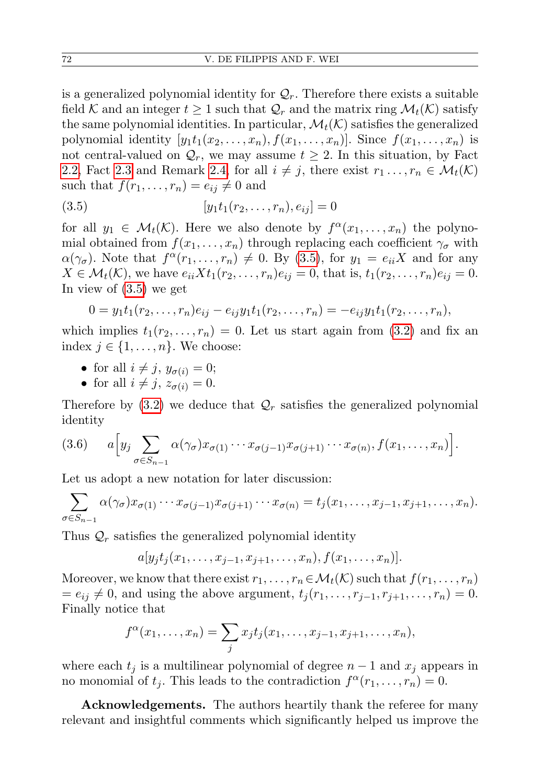is a generalized polynomial identity for  $\mathcal{Q}_r$ . Therefore there exists a suitable field K and an integer  $t \geq 1$  such that  $\mathcal{Q}_r$  and the matrix ring  $\mathcal{M}_t(\mathcal{K})$  satisfy the same polynomial identities. In particular,  $\mathcal{M}_t(\mathcal{K})$  satisfies the generalized polynomial identity  $[y_1t_1(x_2,...,x_n), f(x_1,...,x_n)]$ . Since  $f(x_1,...,x_n)$  is not central-valued on  $\mathcal{Q}_r$ , we may assume  $t \geq 2$ . In this situation, by Fact [2.2,](#page-4-0) Fact [2.3](#page-4-1) and Remark [2.4,](#page-4-5) for all  $i \neq j$ , there exist  $r_1 \ldots, r_n \in \mathcal{M}_t(\mathcal{K})$ such that  $f(r_1, \ldots, r_n) = e_{ij} \neq 0$  and

<span id="page-11-0"></span>(3.5) 
$$
[y_1 t_1 (r_2, \dots, r_n), e_{ij}] = 0
$$

for all  $y_1 \in \mathcal{M}_t(\mathcal{K})$ . Here we also denote by  $f^{\alpha}(x_1,\ldots,x_n)$  the polynomial obtained from  $f(x_1, \ldots, x_n)$  through replacing each coefficient  $\gamma_{\sigma}$  with  $\alpha(\gamma_{\sigma})$ . Note that  $f^{\alpha}(r_1,\ldots,r_n) \neq 0$ . By [\(3.5\)](#page-11-0), for  $y_1 = e_{ii}X$  and for any  $X \in \mathcal{M}_t(\mathcal{K})$ , we have  $e_{ii}Xt_1(r_2,...,r_n)e_{ij} = 0$ , that is,  $t_1(r_2,...,r_n)e_{ij} = 0$ . In view of [\(3.5\)](#page-11-0) we get

$$
0 = y_1t_1(r_2,\ldots,r_n)e_{ij} - e_{ij}y_1t_1(r_2,\ldots,r_n) = -e_{ij}y_1t_1(r_2,\ldots,r_n),
$$

which implies  $t_1(r_2, \ldots, r_n) = 0$ . Let us start again from [\(3.2\)](#page-10-1) and fix an index  $j \in \{1, \ldots, n\}$ . We choose:

- for all  $i \neq j$ ,  $y_{\sigma(i)} = 0$ ;
- for all  $i \neq j$ ,  $z_{\sigma(i)} = 0$ .

Therefore by  $(3.2)$  we deduce that  $\mathcal{Q}_r$  satisfies the generalized polynomial identity

$$
(3.6) \qquad a \Big[ y_j \sum_{\sigma \in S_{n-1}} \alpha(\gamma_\sigma) x_{\sigma(1)} \cdots x_{\sigma(j-1)} x_{\sigma(j+1)} \cdots x_{\sigma(n)}, f(x_1, \ldots, x_n) \Big].
$$

Let us adopt a new notation for later discussion:

$$
\sum_{\sigma \in S_{n-1}} \alpha(\gamma_{\sigma}) x_{\sigma(1)} \cdots x_{\sigma(j-1)} x_{\sigma(j+1)} \cdots x_{\sigma(n)} = t_j(x_1, \ldots, x_{j-1}, x_{j+1}, \ldots, x_n).
$$

Thus  $\mathcal{Q}_r$  satisfies the generalized polynomial identity

$$
a[y_jt_j(x_1,...,x_{j-1},x_{j+1},...,x_n),f(x_1,...,x_n)].
$$

Moreover, we know that there exist  $r_1, \ldots, r_n \in M_t(\mathcal{K})$  such that  $f(r_1, \ldots, r_n)$  $= e_{ij} \neq 0$ , and using the above argument,  $t_i (r_1, \ldots, r_{i-1}, r_{i+1}, \ldots, r_n) = 0$ . Finally notice that

$$
f^{\alpha}(x_1,\ldots,x_n)=\sum_j x_jt_j(x_1,\ldots,x_{j-1},x_{j+1},\ldots,x_n),
$$

where each  $t_j$  is a multilinear polynomial of degree  $n-1$  and  $x_j$  appears in no monomial of  $t_j$ . This leads to the contradiction  $f^{\alpha}(r_1,\ldots,r_n)=0$ .

Acknowledgements. The authors heartily thank the referee for many relevant and insightful comments which significantly helped us improve the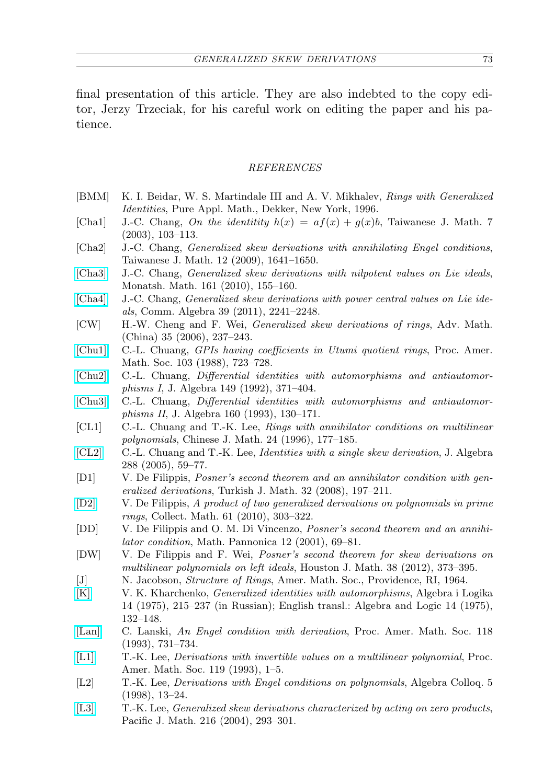final presentation of this article. They are also indebted to the copy editor, Jerzy Trzeciak, for his careful work on editing the paper and his patience.

## REFERENCES

- <span id="page-12-9"></span>[BMM] K. I. Beidar, W. S. Martindale III and A. V. Mikhalev, Rings with Generalized Identities, Pure Appl. Math., Dekker, New York, 1996.
- <span id="page-12-5"></span>[Cha1] J.-C. Chang, On the identitity  $h(x) = af(x) + g(x)b$ , Taiwanese J. Math. 7 (2003), 103–113.
- <span id="page-12-11"></span>[Cha2] J.-C. Chang, Generalized skew derivations with annihilating Engel conditions, Taiwanese J. Math. 12 (2009), 1641–1650.
- [\[Cha3\]](http://dx.doi.org/10.1007/s00605-009-0136-9) J.-C. Chang, *Generalized skew derivations with nilpotent values on Lie ideals*, Monatsh. Math. 161 (2010), 155–160.
- <span id="page-12-6"></span>[\[Cha4\]](http://dx.doi.org/10.1080/00927872.2010.480957) J.-C. Chang, Generalized skew derivations with power central values on Lie ideals, Comm. Algebra 39 (2011), 2241–2248.
- <span id="page-12-7"></span>[CW] H.-W. Cheng and F. Wei, Generalized skew derivations of rings, Adv. Math. (China) 35 (2006), 237–243.
- <span id="page-12-12"></span>[\[Chu1\]](http://dx.doi.org/10.1090/S0002-9939-1988-0947646-4) C.-L. Chuang, GPIs having coefficients in Utumi quotient rings, Proc. Amer. Math. Soc. 103 (1988), 723–728.
- <span id="page-12-14"></span>[\[Chu2\]](http://dx.doi.org/10.1016/0021-8693(92)90023-F) C.-L. Chuang, Differential identities with automorphisms and antiautomorphisms I, J. Algebra 149 (1992), 371–404.
- <span id="page-12-15"></span>[\[Chu3\]](http://dx.doi.org/10.1006/jabr.1993.1181) C.-L. Chuang, Differential identities with automorphisms and antiautomorphisms II, J. Algebra 160 (1993), 130–171.
- <span id="page-12-18"></span>[CL1] C.-L. Chuang and T.-K. Lee, Rings with annihilator conditions on multilinear polynomials, Chinese J. Math. 24 (1996), 177–185.
- <span id="page-12-17"></span>[\[CL2\]](http://dx.doi.org/10.1016/j.jalgebra.2003.12.032) C.-L. Chuang and T.-K. Lee, Identities with a single skew derivation, J. Algebra 288 (2005), 59–77.
- <span id="page-12-3"></span>[D1] V. De Filippis, Posner's second theorem and an annihilator condition with generalized derivations, Turkish J. Math. 32 (2008), 197–211.
- <span id="page-12-4"></span>[\[D2\]](http://dx.doi.org/10.1007/BF03191235) V. De Filippis, A product of two generalized derivations on polynomials in prime rings, Collect. Math. 61 (2010), 303–322.
- <span id="page-12-2"></span>[DD] V. De Filippis and O. M. Di Vincenzo, Posner's second theorem and an annihilator condition, Math. Pannonica 12 (2001), 69–81.
- [DW] V. De Filippis and F. Wei, Posner's second theorem for skew derivations on multilinear polynomials on left ideals, Houston J. Math. 38 (2012), 373–395.
- <span id="page-12-13"></span>[J] N. Jacobson, Structure of Rings, Amer. Math. Soc., Providence, RI, 1964.
- <span id="page-12-16"></span>[\[K\]](http://dx.doi.org/10.1007/BF01668425) V. K. Kharchenko, Generalized identities with automorphisms, Algebra i Logika 14 (1975), 215–237 (in Russian); English transl.: Algebra and Logic 14 (1975), 132–148.
- <span id="page-12-0"></span>[\[Lan\]](http://dx.doi.org/10.1090/S0002-9939-1993-1132851-9) C. Lanski, An Engel condition with derivation, Proc. Amer. Math. Soc. 118 (1993), 731–734.
- <span id="page-12-10"></span>[\[L1\]](http://dx.doi.org/10.1090/S0002-9939-1993-1146862-0) T.-K. Lee, Derivations with invertible values on a multilinear polynomial, Proc. Amer. Math. Soc. 119 (1993), 1–5.
- <span id="page-12-1"></span>[L2] T.-K. Lee, Derivations with Engel conditions on polynomials, Algebra Colloq. 5 (1998), 13–24.
- <span id="page-12-8"></span>[\[L3\]](http://dx.doi.org/10.2140/pjm.2004.216.293) T.-K. Lee, Generalized skew derivations characterized by acting on zero products, Pacific J. Math. 216 (2004), 293–301.